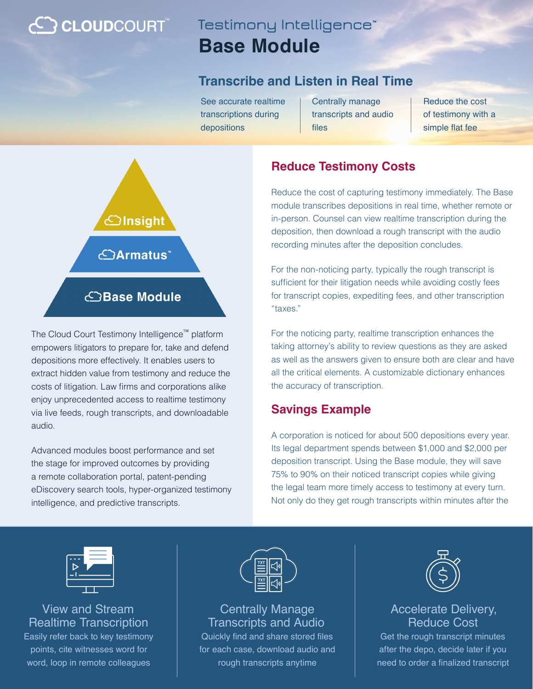# **C CLOUD**COURT™

# **Testimony Intelligence™ Base Module**

### **Transcribe and Listen in Real Time**

See accurate realtime transcriptions during depositions

Centrally manage transcripts and audio files

Reduce the cost of testimony with a simple flat fee



The Cloud Court Testimony Intelligence™ platform empowers litigators to prepare for, take and defend depositions more effectively. It enables users to extract hidden value from testimony and reduce the costs of litigation. Law firms and corporations alike enjoy unprecedented access to realtime testimony via live feeds, rough transcripts, and downloadable audio.

Advanced modules boost performance and set the stage for improved outcomes by providing a remote collaboration portal, patent-pending eDiscovery search tools, hyper-organized testimony intelligence, and predictive transcripts.

### **Reduce Testimony Costs**

Reduce the cost of capturing testimony immediately. The Base module transcribes depositions in real time, whether remote or in-person. Counsel can view realtime transcription during the deposition, then download a rough transcript with the audio recording minutes after the deposition concludes.

For the non-noticing party, typically the rough transcript is sufficient for their litigation needs while avoiding costly fees for transcript copies, expediting fees, and other transcription "taxes."

For the noticing party, realtime transcription enhances the taking attorney's ability to review questions as they are asked as well as the answers given to ensure both are clear and have all the critical elements. A customizable dictionary enhances the accuracy of transcription.

### **Savings Example**

A corporation is noticed for about 500 depositions every year. Its legal department spends between \$1,000 and \$2,000 per deposition transcript. Using the Base module, they will save 75% to 90% on their noticed transcript copies while giving the legal team more timely access to testimony at every turn. Not only do they get rough transcripts within minutes after the



View and Stream Realtime Transcription

Easily refer back to key testimony points, cite witnesses word for word, loop in remote colleagues



Centrally Manage Transcripts and Audio Quickly find and share stored files

for each case, download audio and rough transcripts anytime



#### Accelerate Delivery, Reduce Cost

Get the rough transcript minutes after the depo, decide later if you need to order a finalized transcript